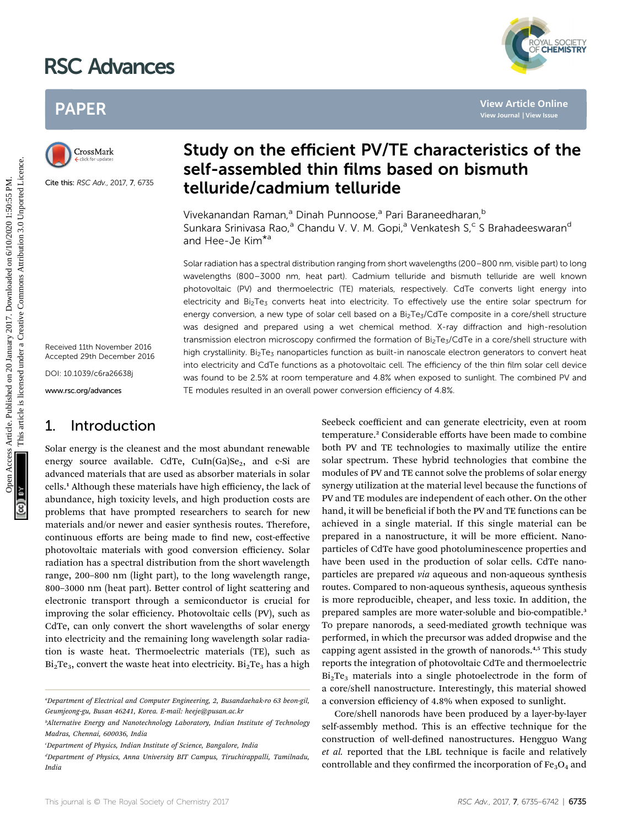# RSC Advances

## PAPER



Cite this: RSC Adv., 2017, 7, 6735

Received 11th November 2016 Accepted 29th December 2016

DOI: 10.1039/c6ra26638j

www.rsc.org/advances

### 1. Introduction

Solar energy is the cleanest and the most abundant renewable energy source available. CdTe,  $C \text{uIn}(Ga)$ Se<sub>2</sub>, and c-Si are advanced materials that are used as absorber materials in solar cells.<sup>1</sup> Although these materials have high efficiency, the lack of abundance, high toxicity levels, and high production costs are problems that have prompted researchers to search for new materials and/or newer and easier synthesis routes. Therefore, continuous efforts are being made to find new, cost-effective photovoltaic materials with good conversion efficiency. Solar radiation has a spectral distribution from the short wavelength range, 200–800 nm (light part), to the long wavelength range, 800–3000 nm (heat part). Better control of light scattering and electronic transport through a semiconductor is crucial for improving the solar efficiency. Photovoltaic cells (PV), such as CdTe, can only convert the short wavelengths of solar energy into electricity and the remaining long wavelength solar radiation is waste heat. Thermoelectric materials (TE), such as  $Bi<sub>2</sub>Te<sub>3</sub>$ , convert the waste heat into electricity.  $Bi<sub>2</sub>Te<sub>3</sub>$  has a high



Vivekanandan Raman,<sup>a</sup> Dinah Punnoose,<sup>a</sup> Pari Baraneedharan,<sup>b</sup> Sunkara Srinivasa Rao,<sup>a</sup> Chandu V. V. M. Gopi,<sup>a</sup> Venkatesh S,<sup>c</sup> S Brahadeeswaran<sup>d</sup> and Hee-Je Kim\*<sup>a</sup>

Solar radiation has a spectral distribution ranging from short wavelengths (200–800 nm, visible part) to long wavelengths (800–3000 nm, heat part). Cadmium telluride and bismuth telluride are well known photovoltaic (PV) and thermoelectric (TE) materials, respectively. CdTe converts light energy into electricity and Bi<sub>2</sub>Te<sub>3</sub> converts heat into electricity. To effectively use the entire solar spectrum for energy conversion, a new type of solar cell based on a Bi<sub>2</sub>Te<sub>3</sub>/CdTe composite in a core/shell structure was designed and prepared using a wet chemical method. X-ray diffraction and high-resolution transmission electron microscopy confirmed the formation of Bi<sub>2</sub>Te<sub>3</sub>/CdTe in a core/shell structure with high crystallinity. Bi<sub>2</sub>Te<sub>3</sub> nanoparticles function as built-in nanoscale electron generators to convert heat into electricity and CdTe functions as a photovoltaic cell. The efficiency of the thin film solar cell device was found to be 2.5% at room temperature and 4.8% when exposed to sunlight. The combined PV and TE modules resulted in an overall power conversion efficiency of 4.8%. PAPER<br>
Study on the efficient PV/TE characteristics of the stress and the stress of the stress and the stress and the stress and the stress and the stress and the stress and the stress and the stress and the stress and th

Seebeck coefficient and can generate electricity, even at room temperature.<sup>2</sup> Considerable efforts have been made to combine both PV and TE technologies to maximally utilize the entire solar spectrum. These hybrid technologies that combine the modules of PV and TE cannot solve the problems of solar energy synergy utilization at the material level because the functions of PV and TE modules are independent of each other. On the other hand, it will be beneficial if both the PV and TE functions can be achieved in a single material. If this single material can be prepared in a nanostructure, it will be more efficient. Nanoparticles of CdTe have good photoluminescence properties and have been used in the production of solar cells. CdTe nanoparticles are prepared via aqueous and non-aqueous synthesis routes. Compared to non-aqueous synthesis, aqueous synthesis is more reproducible, cheaper, and less toxic. In addition, the prepared samples are more water-soluble and bio-compatible.<sup>3</sup> To prepare nanorods, a seed-mediated growth technique was performed, in which the precursor was added dropwise and the capping agent assisted in the growth of nanorods.<sup>4,5</sup> This study reports the integration of photovoltaic CdTe and thermoelectric  $Bi<sub>2</sub>Te<sub>3</sub>$  materials into a single photoelectrode in the form of a core/shell nanostructure. Interestingly, this material showed a conversion efficiency of 4.8% when exposed to sunlight.

Core/shell nanorods have been produced by a layer-by-layer self-assembly method. This is an effective technique for the construction of well-defined nanostructures. Hengguo Wang et al. reported that the LBL technique is facile and relatively controllable and they confirmed the incorporation of  $Fe<sub>3</sub>O<sub>4</sub>$  and



a Department of Electrical and Computer Engineering, 2, Busandaehak-ro 63 beon-gil, Geumjeong-gu, Busan 46241, Korea. E-mail: heeje@pusan.ac.kr

<sup>&</sup>lt;sup>b</sup>Alternative Energy and Nanotechnology Laboratory, Indian Institute of Technology Madras, Chennai, 600036, India

c Department of Physics, Indian Institute of Science, Bangalore, India

<sup>&</sup>lt;sup>d</sup>Department of Physics, Anna University BIT Campus, Tiruchirappalli, Tamilnadu, India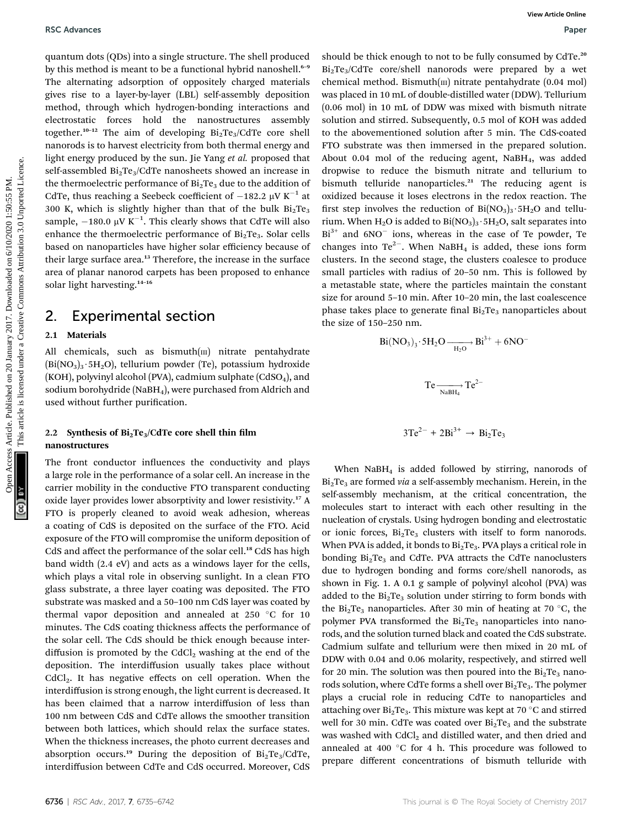quantum dots (QDs) into a single structure. The shell produced by this method is meant to be a functional hybrid nanoshell.<sup>6-9</sup> The alternating adsorption of oppositely charged materials gives rise to a layer-by-layer (LBL) self-assembly deposition method, through which hydrogen-bonding interactions and electrostatic forces hold the nanostructures assembly together.<sup>10-12</sup> The aim of developing  $Bi_2Te_3/CdTe$  core shell nanorods is to harvest electricity from both thermal energy and light energy produced by the sun. Jie Yang et al. proposed that self-assembled  $Bi<sub>2</sub>Te<sub>3</sub>/CdTe$  nanosheets showed an increase in the thermoelectric performance of  $Bi<sub>2</sub>Te<sub>3</sub>$  due to the addition of CdTe, thus reaching a Seebeck coefficient of  $-182.2 \mu V K^{-1}$  at 300 K, which is slightly higher than that of the bulk  $Bi<sub>2</sub>Te<sub>3</sub>$ sample,  $-180.0 \mu V K^{-1}$ . This clearly shows that CdTe will also enhance the thermoelectric performance of  $Bi<sub>2</sub>Te<sub>3</sub>$ . Solar cells based on nanoparticles have higher solar efficiency because of their large surface area.<sup>13</sup> Therefore, the increase in the surface area of planar nanorod carpets has been proposed to enhance solar light harvesting.<sup>14-16</sup>

### 2. Experimental section

#### 2.1 Materials

All chemicals, such as  $b$ ismuth $(m)$  nitrate pentahydrate  $(Bi(NO<sub>3</sub>)<sub>3</sub>·5H<sub>2</sub>O)$ , tellurium powder (Te), potassium hydroxide (KOH), polyvinyl alcohol (PVA), cadmium sulphate  $(CdSO<sub>4</sub>)$ , and sodium borohydride (NaBH<sub>4</sub>), were purchased from Aldrich and used without further purification.

#### 2.2 Synthesis of  $Bi<sub>2</sub>Te<sub>3</sub>/CdTe$  core shell thin film nanostructures

The front conductor influences the conductivity and plays a large role in the performance of a solar cell. An increase in the carrier mobility in the conductive FTO transparent conducting oxide layer provides lower absorptivity and lower resistivity.<sup>17</sup> A FTO is properly cleaned to avoid weak adhesion, whereas a coating of CdS is deposited on the surface of the FTO. Acid exposure of the FTO will compromise the uniform deposition of CdS and affect the performance of the solar cell.<sup>18</sup> CdS has high band width (2.4 eV) and acts as a windows layer for the cells, which plays a vital role in observing sunlight. In a clean FTO glass substrate, a three layer coating was deposited. The FTO substrate was masked and a 50–100 nm CdS layer was coated by thermal vapor deposition and annealed at 250  $^{\circ}$ C for 10 minutes. The CdS coating thickness affects the performance of the solar cell. The CdS should be thick enough because interdiffusion is promoted by the CdCl<sub>2</sub> washing at the end of the deposition. The interdiffusion usually takes place without CdCl<sub>2</sub>. It has negative effects on cell operation. When the interdiffusion is strong enough, the light current is decreased. It has been claimed that a narrow interdiffusion of less than 100 nm between CdS and CdTe allows the smoother transition between both lattices, which should relax the surface states. When the thickness increases, the photo current decreases and absorption occurs.<sup>19</sup> During the deposition of  $Bi_2Te_3/CdTe$ , interdiffusion between CdTe and CdS occurred. Moreover, CdS

should be thick enough to not to be fully consumed by CdTe.<sup>20</sup>  $Bi<sub>2</sub>Te<sub>3</sub>/CdTe$  core/shell nanorods were prepared by a wet chemical method. Bismuth $(m)$  nitrate pentahydrate  $(0.04 \text{ mol})$ was placed in 10 mL of double-distilled water (DDW). Tellurium (0.06 mol) in 10 mL of DDW was mixed with bismuth nitrate solution and stirred. Subsequently, 0.5 mol of KOH was added to the abovementioned solution after 5 min. The CdS-coated FTO substrate was then immersed in the prepared solution. About 0.04 mol of the reducing agent,  $N$ aBH<sub>4</sub>, was added dropwise to reduce the bismuth nitrate and tellurium to bismuth telluride nanoparticles.<sup>21</sup> The reducing agent is oxidized because it loses electrons in the redox reaction. The first step involves the reduction of  $Bi(NO<sub>3</sub>)<sub>3</sub>·5H<sub>2</sub>O$  and tellurium. When  $H_2O$  is added to  $Bi(NO_3)_3 \cdot 5H_2O$ , salt separates into  $Bi^{3+}$  and  $6NO^{-}$  ions, whereas in the case of Te powder, Te changes into  $Te^{2}$ . When NaBH<sub>4</sub> is added, these ions form clusters. In the second stage, the clusters coalesce to produce small particles with radius of 20–50 nm. This is followed by a metastable state, where the particles maintain the constant size for around  $5-10$  min. After  $10-20$  min, the last coalescence phase takes place to generate final  $Bi<sub>2</sub>Te<sub>3</sub>$  nanoparticles about the size of 150–250 nm. BSC Advances<br>
University that are proposed to the simulate the consideration of the simulate on 2017. The simulate the proposed university of the simulate one of the simulate the simulate the simulate the simulate the sim

$$
Bi(NO3)3·5H2O \xrightarrow{H2O} Bi3+ + 6NO-
$$
  
\n
$$
Te \xrightarrow{NaBH4} Te2-
$$
  
\n
$$
3Te2- + 2Bi3+ \to Bi2Te3
$$

When  $N$ aBH<sub>4</sub> is added followed by stirring, nanorods of  $Bi<sub>2</sub>Te<sub>3</sub>$  are formed via a self-assembly mechanism. Herein, in the self-assembly mechanism, at the critical concentration, the molecules start to interact with each other resulting in the nucleation of crystals. Using hydrogen bonding and electrostatic or ionic forces,  $Bi<sub>2</sub>Te<sub>3</sub>$  clusters with itself to form nanorods. When PVA is added, it bonds to  $Bi<sub>2</sub>Te<sub>3</sub>$ . PVA plays a critical role in bonding  $Bi<sub>2</sub>Te<sub>3</sub>$  and CdTe. PVA attracts the CdTe nanoclusters due to hydrogen bonding and forms core/shell nanorods, as shown in Fig. 1. A 0.1 g sample of polyvinyl alcohol (PVA) was added to the  $Bi<sub>2</sub>Te<sub>3</sub>$  solution under stirring to form bonds with the  $Bi<sub>2</sub>Te<sub>3</sub>$  nanoparticles. After 30 min of heating at 70 °C, the polymer PVA transformed the  $Bi<sub>2</sub>Te<sub>3</sub>$  nanoparticles into nanorods, and the solution turned black and coated the CdS substrate. Cadmium sulfate and tellurium were then mixed in 20 mL of DDW with 0.04 and 0.06 molarity, respectively, and stirred well for 20 min. The solution was then poured into the  $Bi<sub>2</sub>Te<sub>3</sub>$  nanorods solution, where CdTe forms a shell over  $Bi<sub>2</sub>Te<sub>3</sub>$ . The polymer plays a crucial role in reducing CdTe to nanoparticles and attaching over  $Bi<sub>2</sub>Te<sub>3</sub>$ . This mixture was kept at 70 °C and stirred well for 30 min. CdTe was coated over  $Bi<sub>2</sub>Te<sub>3</sub>$  and the substrate was washed with CdCl<sub>2</sub> and distilled water, and then dried and annealed at 400  $\degree$ C for 4 h. This procedure was followed to prepare different concentrations of bismuth telluride with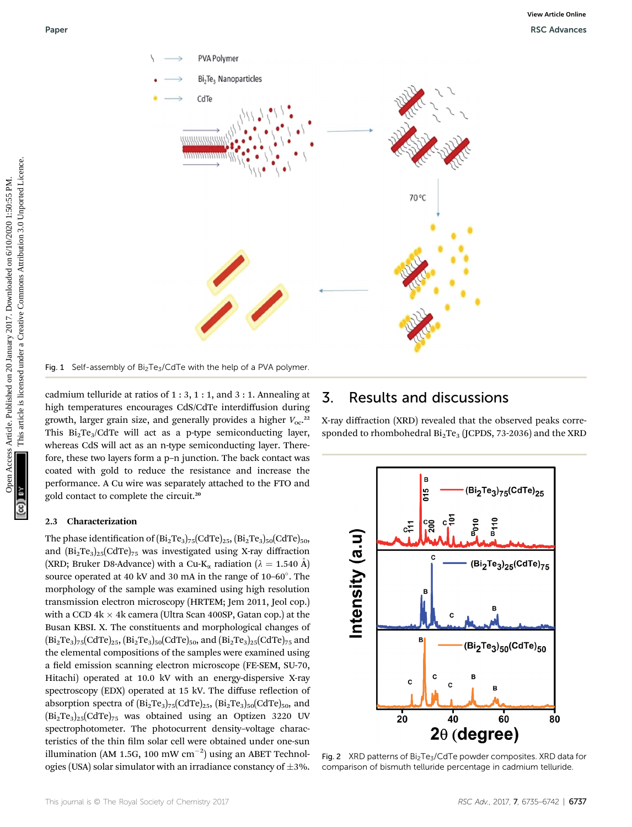

Fig. 1 Self-assembly of  $Bi<sub>2</sub>Te<sub>3</sub>/CdTe$  with the help of a PVA polymer.

cadmium telluride at ratios of 1 : 3, 1 : 1, and 3 : 1. Annealing at high temperatures encourages CdS/CdTe interdiffusion during growth, larger grain size, and generally provides a higher  $V_{\text{oc}}$ .<sup>22</sup> This  $Bi_2Te_3/CdTe$  will act as a p-type semiconducting layer, whereas CdS will act as an n-type semiconducting layer. Therefore, these two layers form a p–n junction. The back contact was coated with gold to reduce the resistance and increase the performance. A Cu wire was separately attached to the FTO and gold contact to complete the circuit.<sup>20</sup>

#### 2.3 Characterization

The phase identification of  $(Bi_2Te_3)_{75}(CdTe)_{25}$ ,  $(Bi_2Te_3)_{50}(CdTe)_{50}$ , and  $(Bi_2Te_3)_{25}(CdTe)_{75}$  was investigated using X-ray diffraction (XRD; Bruker D8-Advance) with a Cu-K<sub>a</sub> radiation ( $\lambda = 1.540$  Å) source operated at 40 kV and 30 mA in the range of  $10-60^\circ$ . The morphology of the sample was examined using high resolution transmission electron microscopy (HRTEM; Jem 2011, Jeol cop.) with a CCD  $4k \times 4k$  camera (Ultra Scan 400SP, Gatan cop.) at the Busan KBSI. X. The constituents and morphological changes of  $(Bi_2Te_3)_{75}(CdTe)_{25}, (Bi_2Te_3)_{50}(CdTe)_{50}$ , and  $(Bi_2Te_3)_{25}(CdTe)_{75}$  and the elemental compositions of the samples were examined using a field emission scanning electron microscope (FE-SEM, SU-70, Hitachi) operated at 10.0 kV with an energy-dispersive X-ray spectroscopy (EDX) operated at 15 kV. The diffuse reflection of absorption spectra of  $(Bi_2Te_3)_{75}(CdTe)_{25}$ ,  $(Bi_2Te_3)_{50}(CdTe)_{50}$ , and  $(Bi<sub>2</sub>Te<sub>3</sub>)<sub>25</sub>(CdTe)<sub>75</sub>$  was obtained using an Optizen 3220 UV spectrophotometer. The photocurrent density–voltage characteristics of the thin film solar cell were obtained under one-sun illumination (AM 1.5G, 100 mW  $cm^{-2}$ ) using an ABET Technologies (USA) solar simulator with an irradiance constancy of  $\pm 3\%$ .

### 3. Results and discussions

X-ray diffraction (XRD) revealed that the observed peaks corresponded to rhombohedral  $Bi<sub>2</sub>Te<sub>3</sub>$  (JCPDS, 73-2036) and the XRD



Fig. 2 XRD patterns of Bi<sub>2</sub>Te<sub>3</sub>/CdTe powder composites. XRD data for comparison of bismuth telluride percentage in cadmium telluride.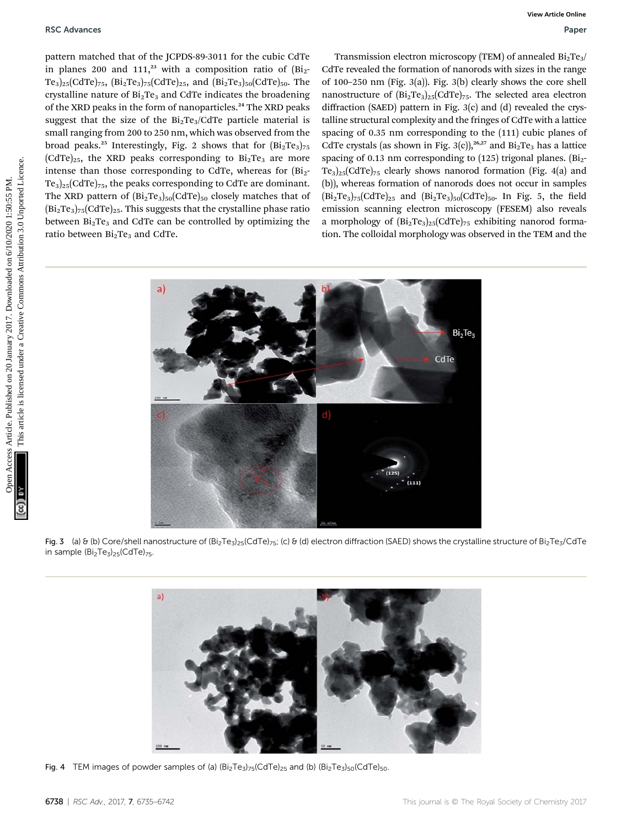pattern matched that of the JCPDS-89-3011 for the cubic CdTe in planes 200 and 111,<sup>23</sup> with a composition ratio of  $(Bi<sub>2</sub> -$ Te<sub>3</sub>)<sub>25</sub>(CdTe)<sub>75</sub>,  $(Bi_2Te_3)_{75}(CdTe)_{25}$ , and  $(Bi_2Te_3)_{50}(CdTe)_{50}$ . The crystalline nature of  $Bi<sub>2</sub>Te<sub>3</sub>$  and CdTe indicates the broadening of the XRD peaks in the form of nanoparticles.<sup>24</sup> The XRD peaks suggest that the size of the  $Bi<sub>2</sub>Te<sub>3</sub>/CdTe$  particle material is small ranging from 200 to 250 nm, which was observed from the broad peaks.<sup>25</sup> Interestingly, Fig. 2 shows that for  $(Bi<sub>2</sub>Te<sub>3</sub>)<sub>75</sub>$  $(CdTe)_{25}$ , the XRD peaks corresponding to  $Bi<sub>2</sub>Te<sub>3</sub>$  are more intense than those corresponding to CdTe, whereas for  $(Bi<sub>2</sub> Te_3$ )<sub>25</sub>(CdTe)<sub>75</sub>, the peaks corresponding to CdTe are dominant. The XRD pattern of  $(Bi<sub>2</sub>Te<sub>3</sub>)<sub>50</sub>(CdTe)<sub>50</sub>$  closely matches that of  $(Bi<sub>2</sub>Te<sub>3</sub>)<sub>75</sub>(CdTe)<sub>25</sub>$ . This suggests that the crystalline phase ratio between  $Bi<sub>2</sub>Te<sub>3</sub>$  and CdTe can be controlled by optimizing the ratio between Bi<sub>2</sub>Te<sub>3</sub> and CdTe.

Transmission electron microscopy (TEM) of annealed  $Bi<sub>2</sub>Te<sub>3</sub>/$ CdTe revealed the formation of nanorods with sizes in the range of 100–250 nm (Fig. 3(a)). Fig. 3(b) clearly shows the core shell nanostructure of  $(Bi_2Te_3)_{25}(CdTe)_{75}$ . The selected area electron diffraction (SAED) pattern in Fig. 3(c) and (d) revealed the crystalline structural complexity and the fringes of CdTe with a lattice spacing of 0.35 nm corresponding to the (111) cubic planes of CdTe crystals (as shown in Fig. 3(c)),<sup>26,27</sup> and  $Bi_2Te_3$  has a lattice spacing of 0.13 nm corresponding to  $(125)$  trigonal planes.  $(Bi<sub>2</sub> Te<sub>3</sub>$ <sub>25</sub>(CdTe)<sub>75</sub> clearly shows nanorod formation (Fig. 4(a) and (b)), whereas formation of nanorods does not occur in samples  $(Bi_2Te_3)_{75}(CdTe)_{25}$  and  $(Bi_2Te_3)_{50}(CdTe)_{50}$ . In Fig. 5, the field emission scanning electron microscopy (FESEM) also reveals a morphology of  $(Bi<sub>2</sub>Te<sub>3</sub>)<sub>25</sub>(CdTe)<sub>75</sub>$  exhibiting nanorod formation. The colloidal morphology was observed in the TEM and the



Fig. 3 (a) & (b) Core/shell nanostructure of  $(Bi_2Te_3)_{25}$ (CdTe)<sub>75</sub>; (c) & (d) electron diffraction (SAED) shows the crystalline structure of Bi<sub>2</sub>Te<sub>3</sub>/CdTe in sample  $(Bi<sub>2</sub>Te<sub>3</sub>)<sub>25</sub>(CdTe)<sub>75</sub>$ .



Fig. 4 TEM images of powder samples of (a)  $(Bi<sub>2</sub>Te<sub>3</sub>)<sub>75</sub>(CdTe)<sub>25</sub>$  and (b)  $(Bi<sub>2</sub>Te<sub>3</sub>)<sub>50</sub>(CdTe)<sub>50</sub>$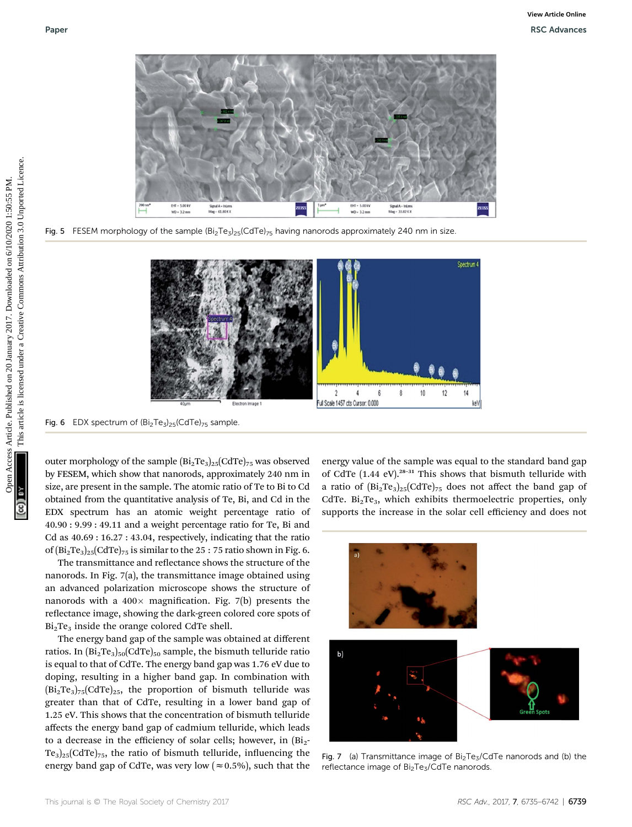

Fig. 5 FESEM morphology of the sample  $(Bi_2Te_3)_{25}(CdTe)_{75}$  having nanorods approximately 240 nm in size.



Fig. 6 EDX spectrum of  $(Bi<sub>2</sub>Te<sub>3</sub>)<sub>25</sub>(CdTe)<sub>75</sub>$  sample.

outer morphology of the sample  $(Bi<sub>2</sub>Te<sub>3</sub>)<sub>25</sub>(CdTe)<sub>75</sub>$  was observed by FESEM, which show that nanorods, approximately 240 nm in size, are present in the sample. The atomic ratio of Te to Bi to Cd obtained from the quantitative analysis of Te, Bi, and Cd in the EDX spectrum has an atomic weight percentage ratio of 40.90 : 9.99 : 49.11 and a weight percentage ratio for Te, Bi and Cd as 40.69 : 16.27 : 43.04, respectively, indicating that the ratio of  $(Bi_2Te_3)_{25}(CdTe)_{75}$  is similar to the 25 : 75 ratio shown in Fig. 6.

The transmittance and reflectance shows the structure of the nanorods. In Fig. 7(a), the transmittance image obtained using an advanced polarization microscope shows the structure of nanorods with a  $400 \times$  magnification. Fig. 7(b) presents the reflectance image, showing the dark-green colored core spots of  $Bi<sub>2</sub>Te<sub>3</sub>$  inside the orange colored CdTe shell.

The energy band gap of the sample was obtained at different ratios. In  $\left[\text{Bi}_2 \text{Te}_3\right]_{50} \left[\text{CdTe}\right]_{50}$  sample, the bismuth telluride ratio is equal to that of CdTe. The energy band gap was 1.76 eV due to doping, resulting in a higher band gap. In combination with  $(Bi<sub>2</sub>Te<sub>3</sub>)<sub>75</sub>(CdTe)<sub>25</sub>$ , the proportion of bismuth telluride was greater than that of CdTe, resulting in a lower band gap of 1.25 eV. This shows that the concentration of bismuth telluride affects the energy band gap of cadmium telluride, which leads to a decrease in the efficiency of solar cells; however, in  $(Bi<sub>2</sub>$ - $Te_3$ )<sub>25</sub>(CdTe)<sub>75</sub>, the ratio of bismuth telluride, influencing the energy band gap of CdTe, was very low ( $\approx 0.5\%$ ), such that the energy value of the sample was equal to the standard band gap of CdTe  $(1.44 \text{ eV})$ .<sup>28-31</sup> This shows that bismuth telluride with a ratio of  $(Bi_2Te_3)_{25}(CdTe)_{75}$  does not affect the band gap of CdTe.  $Bi<sub>2</sub>Te<sub>3</sub>$ , which exhibits thermoelectric properties, only supports the increase in the solar cell efficiency and does not





Fig. 7 (a) Transmittance image of  $Bi<sub>2</sub>Te<sub>3</sub>/CdTe$  nanorods and (b) the reflectance image of Bi<sub>2</sub>Te<sub>3</sub>/CdTe nanorods.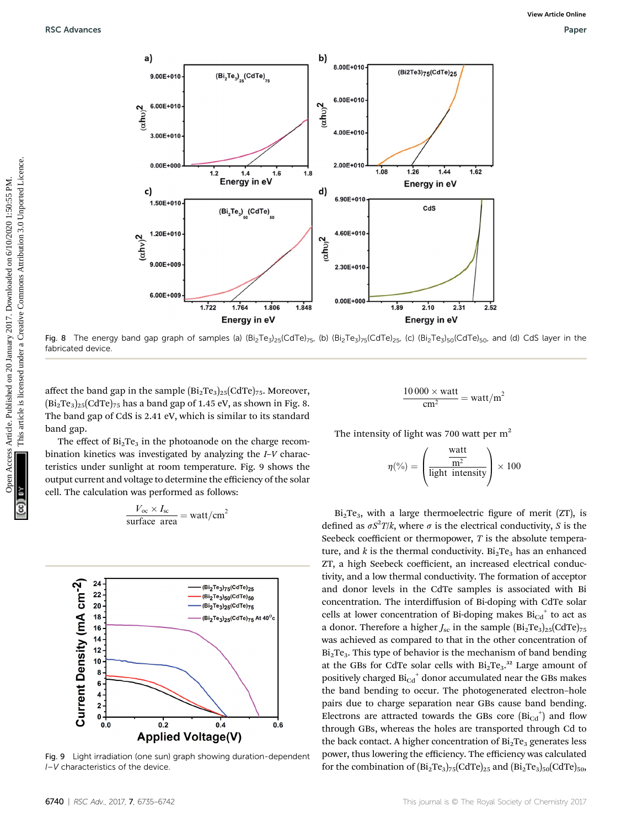

Fig. 8 The energy band gap graph of samples (a)  $(Bi<sub>2</sub>Te<sub>3</sub>)<sub>25</sub>(CdTe)<sub>75</sub>$ , (b)  $(Bi<sub>2</sub>Te<sub>3</sub>)<sub>5</sub>(CdTe)<sub>25</sub>$ , (c)  $(Bi<sub>2</sub>Te<sub>3</sub>)<sub>5</sub>(CdTe)<sub>50</sub>$ , and (d) CdS layer in the fabricated device

affect the band gap in the sample  $(Bi<sub>2</sub>Te<sub>3</sub>)<sub>25</sub>(CdTe)<sub>75</sub>$ . Moreover,  $(Bi<sub>2</sub>Te<sub>3</sub>)<sub>25</sub>(CdTe)<sub>75</sub>$  has a band gap of 1.45 eV, as shown in Fig. 8. The band gap of CdS is 2.41 eV, which is similar to its standard band gap.

The effect of  $Bi<sub>2</sub>Te<sub>3</sub>$  in the photoanode on the charge recombination kinetics was investigated by analyzing the I–V characteristics under sunlight at room temperature. Fig. 9 shows the output current and voltage to determine the efficiency of the solar cell. The calculation was performed as follows:

$$
\frac{V_{\text{oc}} \times I_{\text{sc}}}{\text{surface area}} = \text{watt/cm}^2
$$



Fig. 9 Light irradiation (one sun) graph showing duration-dependent I–V characteristics of the device.

$$
\frac{10\,000 \times \text{watt}}{\text{cm}^2} = \text{watt/m}^2
$$

The intensity of light was 700 watt per  $m<sup>2</sup>$ 

$$
\eta(\%) = \left(\frac{\frac{\text{watt}}{\text{m}^2}}{\text{light intensity}}\right) \times 100
$$

 $Bi<sub>2</sub>Te<sub>3</sub>$ , with a large thermoelectric figure of merit (ZT), is defined as  $\sigma S^2 T / k$ , where  $\sigma$  is the electrical conductivity, S is the Seebeck coefficient or thermopower,  $T$  is the absolute temperature, and k is the thermal conductivity.  $Bi<sub>2</sub>Te<sub>3</sub>$  has an enhanced ZT, a high Seebeck coefficient, an increased electrical conductivity, and a low thermal conductivity. The formation of acceptor and donor levels in the CdTe samples is associated with Bi concentration. The interdiffusion of Bi-doping with CdTe solar cells at lower concentration of Bi-doping makes  $Bi_{Cd}^+$  to act as a donor. Therefore a higher  $J_{\rm sc}$  in the sample  $\rm (Bi_2Te_3)_{25}(CdTe)_{75}$ was achieved as compared to that in the other concentration of  $Bi<sub>2</sub>Te<sub>3</sub>$ . This type of behavior is the mechanism of band bending at the GBs for CdTe solar cells with  $Bi_2Te_3$ .<sup>32</sup> Large amount of positively charged  $Bi_{Cd}^+$  donor accumulated near the GBs makes the band bending to occur. The photogenerated electron–hole pairs due to charge separation near GBs cause band bending. Electrons are attracted towards the GBs core  $(Bi_{Cd}^+)$  and flow through GBs, whereas the holes are transported through Cd to the back contact. A higher concentration of  $Bi<sub>2</sub>Te<sub>3</sub>$  generates less power, thus lowering the efficiency. The efficiency was calculated for the combination of  $(Bi_2Te_3)_{75}(CdTe)_{25}$  and  $(Bi_2Te_3)_{50}(CdTe)_{50}$ ,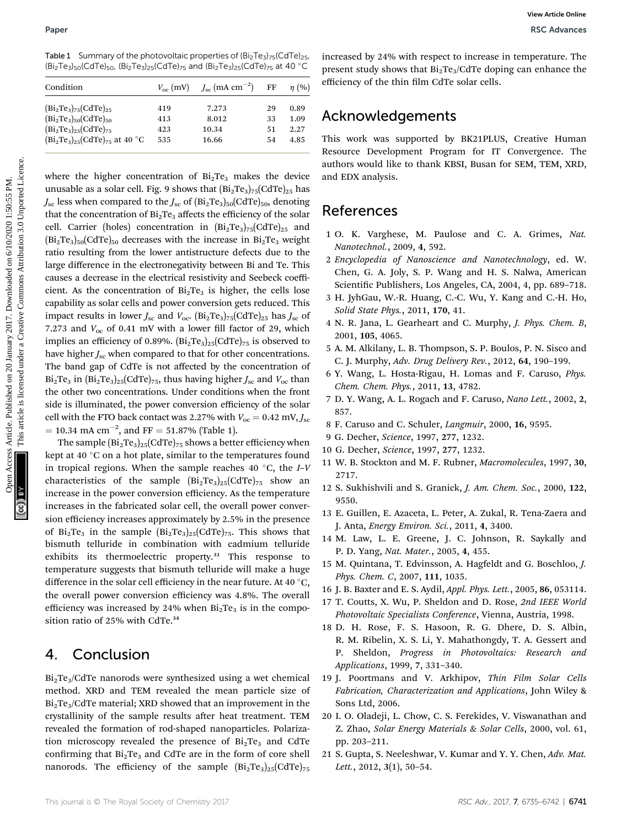Table 1 Summary of the photovoltaic properties of  $(Bi<sub>2</sub>Te<sub>3</sub>)<sub>75</sub>(CdTe)<sub>25</sub>$ ,  $(Bi_2Te_3)_{50}$ (CdTe)<sub>50</sub>,  $(Bi_2Te_3)_{25}$ (CdTe)<sub>75</sub> and  $(Bi_2Te_3)_{25}$ (CdTe)<sub>75</sub> at 40 °C

| Condition                                                                                                          |                          | $V_{\rm oc}$ (mV) $J_{\rm sc}$ (mA cm <sup>-2</sup> ) | FF                   | $\eta$ (%)                   |
|--------------------------------------------------------------------------------------------------------------------|--------------------------|-------------------------------------------------------|----------------------|------------------------------|
| $(Bi2Te3)75(CdTe)25$<br>$(Bi2Te3)50(CdTe)50$<br>$(Bi2Te3)25(CdTe)75$<br>$(Bi_{2}Te_{3})_{25} (CdTe)_{75}$ at 40 °C | 419<br>413<br>423<br>535 | 7.273<br>8.012<br>10.34<br>16.66                      | 29<br>33<br>51<br>54 | 0.89<br>1.09<br>2.27<br>4.85 |
|                                                                                                                    |                          |                                                       |                      |                              |

where the higher concentration of  $Bi<sub>2</sub>Te<sub>3</sub>$  makes the device unusable as a solar cell. Fig. 9 shows that  $\left(Bi_2Te_3\right)_{75}\left(CdTe_2\right)_{25}$  has  $J_{\rm sc}$  less when compared to the  $J_{\rm sc}$  of  $(Bi_2Te_3)_{50}(CdTe)_{50}$ , denoting that the concentration of  $Bi<sub>2</sub>Te<sub>3</sub>$  affects the efficiency of the solar cell. Carrier (holes) concentration in  $(Bi<sub>2</sub>Te<sub>3</sub>)<sub>75</sub>(CdTe)<sub>25</sub>$  and  $(Bi<sub>2</sub>Te<sub>3</sub>)<sub>50</sub>(CdTe)<sub>50</sub>$  decreases with the increase in Bi<sub>2</sub>Te<sub>3</sub> weight ratio resulting from the lower antistructure defects due to the large difference in the electronegativity between Bi and Te. This causes a decrease in the electrical resistivity and Seebeck coefficient. As the concentration of  $Bi<sub>2</sub>Te<sub>3</sub>$  is higher, the cells lose capability as solar cells and power conversion gets reduced. This impact results in lower  $J_{\rm sc}$  and  $V_{\rm oc}$ .  $(Bi_2Te_3)_{75}$  (CdTe)<sub>25</sub> has  $J_{\rm sc}$  of 7.273 and  $V_{\text{oc}}$  of 0.41 mV with a lower fill factor of 29, which implies an efficiency of 0.89%.  $(Bi<sub>2</sub>Te<sub>3</sub>)<sub>25</sub>(CdTe)<sub>75</sub>$  is observed to have higher  $J_{\rm sc}$  when compared to that for other concentrations. The band gap of CdTe is not affected by the concentration of  $Bi<sub>2</sub>Te<sub>3</sub>$  in  $Bi<sub>2</sub>Te<sub>3</sub>$  $_{25}$ (CdTe)<sub>75</sub>, thus having higher  $J<sub>sc</sub>$  and  $V<sub>oc</sub>$  than the other two concentrations. Under conditions when the front side is illuminated, the power conversion efficiency of the solar cell with the FTO back contact was 2.27% with  $V_{\text{oc}} = 0.42 \text{ mV}, J_{\text{sc}}$  $= 10.34$  mA cm<sup>-2</sup>, and FF  $= 51.87\%$  (Table 1). Paper<br>
Take 1 Sources Observed Commonweal on 2017 Commonweal on 2018 which is marging the main of the Commonweal on First Commonweal on First Commonweal on Eq. (2017).<br>
Contained the commonweal of the commonweal on 2017 C

The sample  $\left(\text{Bi}_2\text{Te}_3\right)_{25} \left(\text{CdTe}\right)_{75}$  shows a better efficiency when kept at 40 $\degree$ C on a hot plate, similar to the temperatures found in tropical regions. When the sample reaches 40  $\degree$ C, the *I*–*V* characteristics of the sample  $(Bi_2Te_3)_{25}(CdTe)_{75}$  show an increase in the power conversion efficiency. As the temperature increases in the fabricated solar cell, the overall power conversion efficiency increases approximately by 2.5% in the presence of  $Bi_2Te_3$  in the sample  $Bi_2Te_3$ )<sub>25</sub>(CdTe)<sub>75</sub>. This shows that bismuth telluride in combination with cadmium telluride exhibits its thermoelectric property.<sup>33</sup> This response to temperature suggests that bismuth telluride will make a huge difference in the solar cell efficiency in the near future. At 40  $^{\circ}$ C, the overall power conversion efficiency was 4.8%. The overall efficiency was increased by 24% when  $Bi<sub>2</sub>Te<sub>3</sub>$  is in the composition ratio of 25% with CdTe.<sup>34</sup>

### 4. Conclusion

 $Bi<sub>2</sub>Te<sub>3</sub>/CdTe$  nanorods were synthesized using a wet chemical method. XRD and TEM revealed the mean particle size of  $Bi<sub>2</sub>Te<sub>3</sub>/CdTe$  material; XRD showed that an improvement in the crystallinity of the sample results after heat treatment. TEM revealed the formation of rod-shaped nanoparticles. Polarization microscopy revealed the presence of  $Bi<sub>2</sub>Te<sub>3</sub>$  and CdTe confirming that  $Bi<sub>2</sub>Te<sub>3</sub>$  and CdTe are in the form of core shell nanorods. The efficiency of the sample  $(Bi<sub>2</sub>Te<sub>3</sub>)<sub>25</sub>(CdTe)<sub>75</sub>$ 

increased by 24% with respect to increase in temperature. The present study shows that  $Bi<sub>2</sub>Te<sub>3</sub>/CdTe$  doping can enhance the efficiency of the thin film CdTe solar cells.

### Acknowledgements

This work was supported by BK21PLUS, Creative Human Resource Development Program for IT Convergence. The authors would like to thank KBSI, Busan for SEM, TEM, XRD, and EDX analysis.

### References

- 1 O. K. Varghese, M. Paulose and C. A. Grimes, Nat. Nanotechnol., 2009, 4, 592.
- 2 Encyclopedia of Nanoscience and Nanotechnology, ed. W. Chen, G. A. Joly, S. P. Wang and H. S. Nalwa, American Scientific Publishers, Los Angeles, CA, 2004, 4, pp. 689-718.
- 3 H. JyhGau, W.-R. Huang, C.-C. Wu, Y. Kang and C.-H. Ho, Solid State Phys., 2011, 170, 41.
- 4 N. R. Jana, L. Gearheart and C. Murphy, J. Phys. Chem. B, 2001, 105, 4065.
- 5 A. M. Alkilany, L. B. Thompson, S. P. Boulos, P. N. Sisco and C. J. Murphy, Adv. Drug Delivery Rev., 2012, 64, 190–199.
- 6 Y. Wang, L. Hosta-Rigau, H. Lomas and F. Caruso, Phys. Chem. Chem. Phys., 2011, 13, 4782.
- 7 D. Y. Wang, A. L. Rogach and F. Caruso, Nano Lett., 2002, 2, 857.
- 8 F. Caruso and C. Schuler, Langmuir, 2000, 16, 9595.
- 9 G. Decher, Science, 1997, 277, 1232.
- 10 G. Decher, Science, 1997, 277, 1232.
- 11 W. B. Stockton and M. F. Rubner, Macromolecules, 1997, 30, 2717.
- 12 S. Sukhishvili and S. Granick, J. Am. Chem. Soc., 2000, 122, 9550.
- 13 E. Guillen, E. Azaceta, L. Peter, A. Zukal, R. Tena-Zaera and J. Anta, Energy Environ. Sci., 2011, 4, 3400.
- 14 M. Law, L. E. Greene, J. C. Johnson, R. Saykally and P. D. Yang, Nat. Mater., 2005, 4, 455.
- 15 M. Quintana, T. Edvinsson, A. Hagfeldt and G. Boschloo, J. Phys. Chem. C, 2007, 111, 1035.
- 16 J. B. Baxter and E. S. Aydil, Appl. Phys. Lett., 2005, 86, 053114.
- 17 T. Coutts, X. Wu, P. Sheldon and D. Rose, 2nd IEEE World Photovoltaic Specialists Conference, Vienna, Austria, 1998.
- 18 D. H. Rose, F. S. Hasoon, R. G. Dhere, D. S. Albin, R. M. Ribelin, X. S. Li, Y. Mahathongdy, T. A. Gessert and P. Sheldon, Progress in Photovoltaics: Research and Applications, 1999, 7, 331–340.
- 19 J. Poortmans and V. Arkhipov, Thin Film Solar Cells Fabrication, Characterization and Applications, John Wiley & Sons Ltd, 2006.
- 20 I. O. Oladeji, L. Chow, C. S. Ferekides, V. Viswanathan and Z. Zhao, Solar Energy Materials & Solar Cells, 2000, vol. 61, pp. 203–211.
- 21 S. Gupta, S. Neeleshwar, V. Kumar and Y. Y. Chen, Adv. Mat. Lett., 2012, 3(1), 50-54.